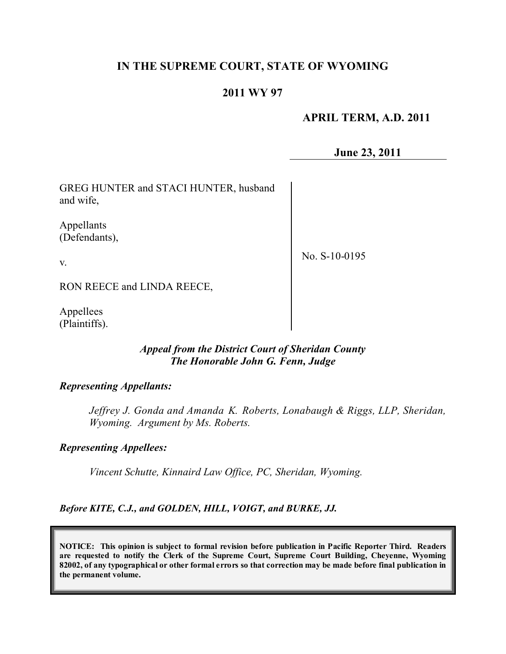## **IN THE SUPREME COURT, STATE OF WYOMING**

# **2011 WY 97**

## **APRIL TERM, A.D. 2011**

**June 23, 2011**

GREG HUNTER and STACI HUNTER, husband and wife,

Appellants (Defendants),

No. S-10-0195

RON REECE and LINDA REECE,

Appellees (Plaintiffs).

v.

### *Appeal from the District Court of Sheridan County The Honorable John G. Fenn, Judge*

#### *Representing Appellants:*

*Jeffrey J. Gonda and Amanda K. Roberts, Lonabaugh & Riggs, LLP, Sheridan, Wyoming. Argument by Ms. Roberts.*

### *Representing Appellees:*

*Vincent Schutte, Kinnaird Law Office, PC, Sheridan, Wyoming.*

*Before KITE, C.J., and GOLDEN, HILL, VOIGT, and BURKE, JJ.*

**NOTICE: This opinion is subject to formal revision before publication in Pacific Reporter Third. Readers are requested to notify the Clerk of the Supreme Court, Supreme Court Building, Cheyenne, Wyoming** 82002, of any typographical or other formal errors so that correction may be made before final publication in **the permanent volume.**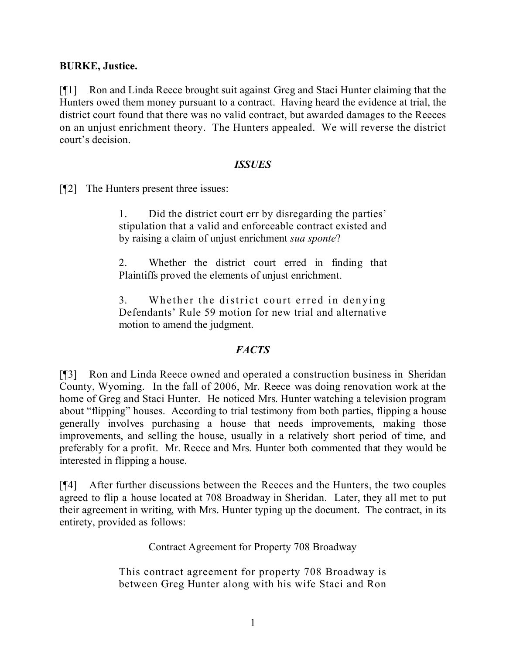### **BURKE, Justice.**

[¶1] Ron and Linda Reece brought suit against Greg and Staci Hunter claiming that the Hunters owed them money pursuant to a contract. Having heard the evidence at trial, the district court found that there was no valid contract, but awarded damages to the Reeces on an unjust enrichment theory. The Hunters appealed. We will reverse the district court's decision.

#### *ISSUES*

[¶2] The Hunters present three issues:

1. Did the district court err by disregarding the parties' stipulation that a valid and enforceable contract existed and by raising a claim of unjust enrichment *sua sponte*?

2. Whether the district court erred in finding that Plaintiffs proved the elements of unjust enrichment.

3. Whether the district court erred in denying Defendants' Rule 59 motion for new trial and alternative motion to amend the judgment.

## *FACTS*

[¶3] Ron and Linda Reece owned and operated a construction business in Sheridan County, Wyoming. In the fall of 2006, Mr. Reece was doing renovation work at the home of Greg and Staci Hunter. He noticed Mrs. Hunter watching a television program about "flipping" houses. According to trial testimony from both parties, flipping a house generally involves purchasing a house that needs improvements, making those improvements, and selling the house, usually in a relatively short period of time, and preferably for a profit. Mr. Reece and Mrs. Hunter both commented that they would be interested in flipping a house.

[¶4] After further discussions between the Reeces and the Hunters, the two couples agreed to flip a house located at 708 Broadway in Sheridan. Later, they all met to put their agreement in writing, with Mrs. Hunter typing up the document. The contract, in its entirety, provided as follows:

Contract Agreement for Property 708 Broadway

This contract agreement for property 708 Broadway is between Greg Hunter along with his wife Staci and Ron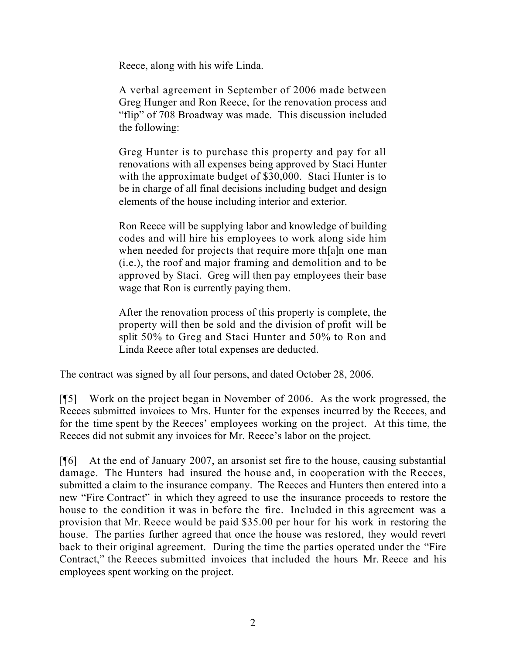Reece, along with his wife Linda.

A verbal agreement in September of 2006 made between Greg Hunger and Ron Reece, for the renovation process and "flip" of 708 Broadway was made. This discussion included the following:

Greg Hunter is to purchase this property and pay for all renovations with all expenses being approved by Staci Hunter with the approximate budget of \$30,000. Staci Hunter is to be in charge of all final decisions including budget and design elements of the house including interior and exterior.

Ron Reece will be supplying labor and knowledge of building codes and will hire his employees to work along side him when needed for projects that require more th[a]n one man (i.e.), the roof and major framing and demolition and to be approved by Staci. Greg will then pay employees their base wage that Ron is currently paying them.

After the renovation process of this property is complete, the property will then be sold and the division of profit will be split 50% to Greg and Staci Hunter and 50% to Ron and Linda Reece after total expenses are deducted.

The contract was signed by all four persons, and dated October 28, 2006.

[¶5] Work on the project began in November of 2006. As the work progressed, the Reeces submitted invoices to Mrs. Hunter for the expenses incurred by the Reeces, and for the time spent by the Reeces' employees working on the project. At this time, the Reeces did not submit any invoices for Mr. Reece's labor on the project.

[¶6] At the end of January 2007, an arsonist set fire to the house, causing substantial damage. The Hunters had insured the house and, in cooperation with the Reeces, submitted a claim to the insurance company. The Reeces and Hunters then entered into a new "Fire Contract" in which they agreed to use the insurance proceeds to restore the house to the condition it was in before the fire. Included in this agreement was a provision that Mr. Reece would be paid \$35.00 per hour for his work in restoring the house. The parties further agreed that once the house was restored, they would revert back to their original agreement. During the time the parties operated under the "Fire Contract," the Reeces submitted invoices that included the hours Mr. Reece and his employees spent working on the project.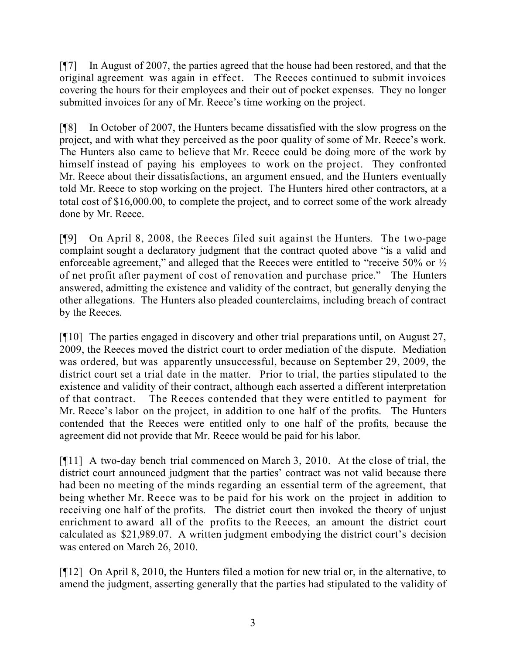[¶7] In August of 2007, the parties agreed that the house had been restored, and that the original agreement was again in effect. The Reeces continued to submit invoices covering the hours for their employees and their out of pocket expenses. They no longer submitted invoices for any of Mr. Reece's time working on the project.

[¶8] In October of 2007, the Hunters became dissatisfied with the slow progress on the project, and with what they perceived as the poor quality of some of Mr. Reece's work. The Hunters also came to believe that Mr. Reece could be doing more of the work by himself instead of paying his employees to work on the project. They confronted Mr. Reece about their dissatisfactions, an argument ensued, and the Hunters eventually told Mr. Reece to stop working on the project. The Hunters hired other contractors, at a total cost of \$16,000.00, to complete the project, and to correct some of the work already done by Mr. Reece.

[¶9] On April 8, 2008, the Reeces filed suit against the Hunters. The two-page complaint sought a declaratory judgment that the contract quoted above "is a valid and enforceable agreement," and alleged that the Reeces were entitled to "receive 50% or  $\frac{1}{2}$ " of net profit after payment of cost of renovation and purchase price." The Hunters answered, admitting the existence and validity of the contract, but generally denying the other allegations. The Hunters also pleaded counterclaims, including breach of contract by the Reeces.

[¶10] The parties engaged in discovery and other trial preparations until, on August 27, 2009, the Reeces moved the district court to order mediation of the dispute. Mediation was ordered, but was apparently unsuccessful, because on September 29, 2009, the district court set a trial date in the matter. Prior to trial, the parties stipulated to the existence and validity of their contract, although each asserted a different interpretation of that contract. The Reeces contended that they were entitled to payment for Mr. Reece's labor on the project, in addition to one half of the profits. The Hunters contended that the Reeces were entitled only to one half of the profits, because the agreement did not provide that Mr. Reece would be paid for his labor.

[¶11] A two-day bench trial commenced on March 3, 2010. At the close of trial, the district court announced judgment that the parties' contract was not valid because there had been no meeting of the minds regarding an essential term of the agreement, that being whether Mr. Reece was to be paid for his work on the project in addition to receiving one half of the profits. The district court then invoked the theory of unjust enrichment to award all of the profits to the Reeces, an amount the district court calculated as \$21,989.07. A written judgment embodying the district court's decision was entered on March 26, 2010.

[¶12] On April 8, 2010, the Hunters filed a motion for new trial or, in the alternative, to amend the judgment, asserting generally that the parties had stipulated to the validity of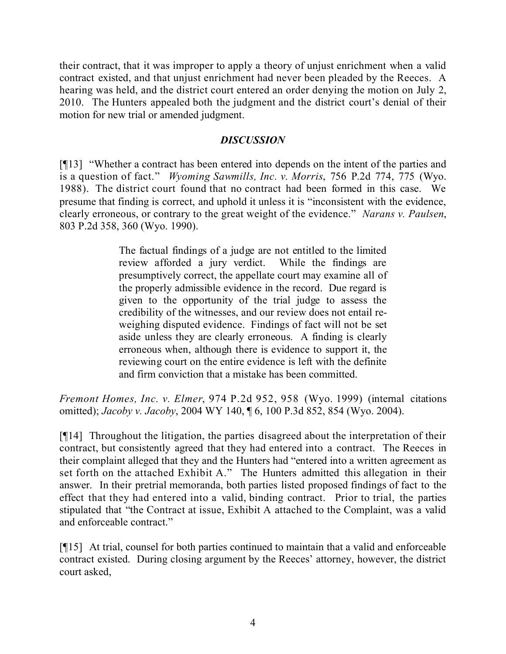their contract, that it was improper to apply a theory of unjust enrichment when a valid contract existed, and that unjust enrichment had never been pleaded by the Reeces. A hearing was held, and the district court entered an order denying the motion on July 2, 2010. The Hunters appealed both the judgment and the district court's denial of their motion for new trial or amended judgment.

### *DISCUSSION*

[¶13] "Whether a contract has been entered into depends on the intent of the parties and is a question of fact." *Wyoming Sawmills, Inc. v. Morris*, 756 P.2d 774, 775 (Wyo. 1988). The district court found that no contract had been formed in this case. We presume that finding is correct, and uphold it unless it is "inconsistent with the evidence, clearly erroneous, or contrary to the great weight of the evidence." *Narans v. Paulsen*, 803 P.2d 358, 360 (Wyo. 1990).

> The factual findings of a judge are not entitled to the limited review afforded a jury verdict. While the findings are presumptively correct, the appellate court may examine all of the properly admissible evidence in the record. Due regard is given to the opportunity of the trial judge to assess the credibility of the witnesses, and our review does not entail reweighing disputed evidence. Findings of fact will not be set aside unless they are clearly erroneous. A finding is clearly erroneous when, although there is evidence to support it, the reviewing court on the entire evidence is left with the definite and firm conviction that a mistake has been committed.

*Fremont Homes, Inc. v. Elmer*, 974 P.2d 952, 958 (Wyo. 1999) (internal citations omitted); *Jacoby v. Jacoby*, 2004 WY 140, ¶ 6, 100 P.3d 852, 854 (Wyo. 2004).

[¶14] Throughout the litigation, the parties disagreed about the interpretation of their contract, but consistently agreed that they had entered into a contract. The Reeces in their complaint alleged that they and the Hunters had "entered into a written agreement as set forth on the attached Exhibit A." The Hunters admitted this allegation in their answer. In their pretrial memoranda, both parties listed proposed findings of fact to the effect that they had entered into a valid, binding contract. Prior to trial, the parties stipulated that "the Contract at issue, Exhibit A attached to the Complaint, was a valid and enforceable contract."

[¶15] At trial, counsel for both parties continued to maintain that a valid and enforceable contract existed. During closing argument by the Reeces' attorney, however, the district court asked,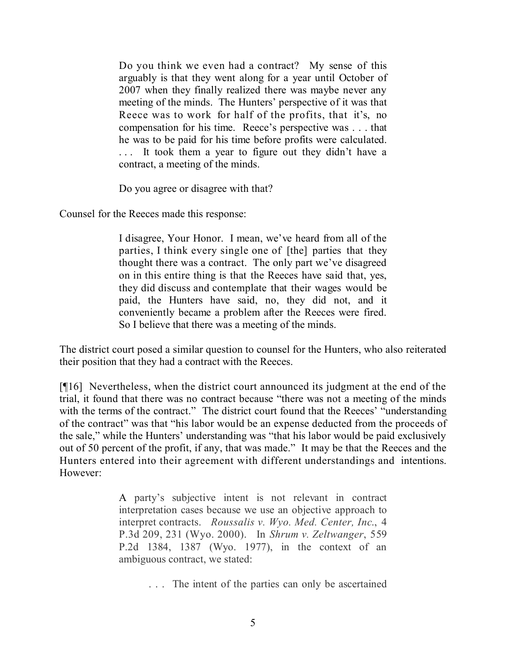Do you think we even had a contract? My sense of this arguably is that they went along for a year until October of 2007 when they finally realized there was maybe never any meeting of the minds. The Hunters' perspective of it was that Reece was to work for half of the profits, that it's, no compensation for his time. Reece's perspective was . . . that he was to be paid for his time before profits were calculated. . . . It took them a year to figure out they didn't have a contract, a meeting of the minds.

Do you agree or disagree with that?

Counsel for the Reeces made this response:

I disagree, Your Honor. I mean, we've heard from all of the parties, I think every single one of [the] parties that they thought there was a contract. The only part we've disagreed on in this entire thing is that the Reeces have said that, yes, they did discuss and contemplate that their wages would be paid, the Hunters have said, no, they did not, and it conveniently became a problem after the Reeces were fired. So I believe that there was a meeting of the minds.

The district court posed a similar question to counsel for the Hunters, who also reiterated their position that they had a contract with the Reeces.

[¶16] Nevertheless, when the district court announced its judgment at the end of the trial, it found that there was no contract because "there was not a meeting of the minds with the terms of the contract." The district court found that the Reeces' "understanding" of the contract" was that "his labor would be an expense deducted from the proceeds of the sale," while the Hunters' understanding was "that his labor would be paid exclusively out of 50 percent of the profit, if any, that was made." It may be that the Reeces and the Hunters entered into their agreement with different understandings and intentions. However:

> A party's subjective intent is not relevant in contract interpretation cases because we use an objective approach to interpret contracts. *Roussalis v. Wyo. Med. Center, Inc*., 4 P.3d 209, 231 (Wyo. 2000). In *Shrum v. Zeltwanger*, 559 P.2d 1384, 1387 (Wyo. 1977), in the context of an ambiguous contract, we stated:

> > . . . The intent of the parties can only be ascertained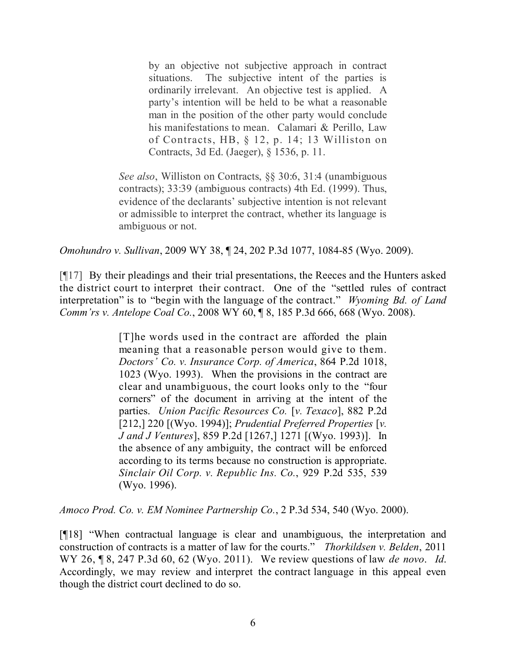by an objective not subjective approach in contract situations. The subjective intent of the parties is ordinarily irrelevant. An objective test is applied. A party's intention will be held to be what a reasonable man in the position of the other party would conclude his manifestations to mean. Calamari & Perillo, Law of Contracts, HB, § 12, p. 14; 13 Williston on Contracts, 3d Ed. (Jaeger), § 1536, p. 11.

*See also*, Williston on Contracts, §§ 30:6, 31:4 (unambiguous contracts); 33:39 (ambiguous contracts) 4th Ed. (1999). Thus, evidence of the declarants' subjective intention is not relevant or admissible to interpret the contract, whether its language is ambiguous or not.

*Omohundro v. Sullivan*, 2009 WY 38, ¶ 24, 202 P.3d 1077, 1084-85 (Wyo. 2009).

[¶17] By their pleadings and their trial presentations, the Reeces and the Hunters asked the district court to interpret their contract. One of the "settled rules of contract interpretation" is to "begin with the language of the contract." *Wyoming Bd. of Land Comm'rs v. Antelope Coal Co.*, 2008 WY 60, ¶ 8, 185 P.3d 666, 668 (Wyo. 2008).

> [T]he words used in the contract are afforded the plain meaning that a reasonable person would give to them. *Doctors' Co. v. Insurance Corp. of America*, 864 P.2d 1018, 1023 (Wyo. 1993). When the provisions in the contract are clear and unambiguous, the court looks only to the "four corners" of the document in arriving at the intent of the parties. *Union Pacific Resources Co.* [*v. Texaco*], 882 P.2d [212,] 220 [(Wyo. 1994)]; *Prudential Preferred Properties* [*v. J and J Ventures*], 859 P.2d [1267,] 1271 [(Wyo. 1993)]. In the absence of any ambiguity, the contract will be enforced according to its terms because no construction is appropriate. *Sinclair Oil Corp. v. Republic Ins. Co.*, 929 P.2d 535, 539 (Wyo. 1996).

*Amoco Prod. Co. v. EM Nominee Partnership Co.*, 2 P.3d 534, 540 (Wyo. 2000).

[¶18] "When contractual language is clear and unambiguous, the interpretation and construction of contracts is a matter of law for the courts." *Thorkildsen v. Belden*, 2011 WY 26, ¶ 8, 247 P.3d 60, 62 (Wyo. 2011). We review questions of law *de novo*. *Id*. Accordingly, we may review and interpret the contract language in this appeal even though the district court declined to do so.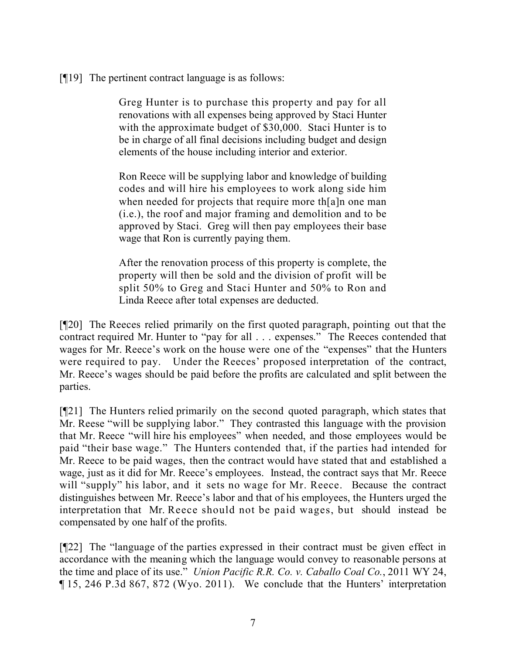[¶19] The pertinent contract language is as follows:

Greg Hunter is to purchase this property and pay for all renovations with all expenses being approved by Staci Hunter with the approximate budget of \$30,000. Staci Hunter is to be in charge of all final decisions including budget and design elements of the house including interior and exterior.

Ron Reece will be supplying labor and knowledge of building codes and will hire his employees to work along side him when needed for projects that require more th[a]n one man (i.e.), the roof and major framing and demolition and to be approved by Staci. Greg will then pay employees their base wage that Ron is currently paying them.

After the renovation process of this property is complete, the property will then be sold and the division of profit will be split 50% to Greg and Staci Hunter and 50% to Ron and Linda Reece after total expenses are deducted.

[¶20] The Reeces relied primarily on the first quoted paragraph, pointing out that the contract required Mr. Hunter to "pay for all . . . expenses." The Reeces contended that wages for Mr. Reece's work on the house were one of the "expenses" that the Hunters were required to pay. Under the Reeces' proposed interpretation of the contract, Mr. Reece's wages should be paid before the profits are calculated and split between the parties.

[¶21] The Hunters relied primarily on the second quoted paragraph, which states that Mr. Reese "will be supplying labor." They contrasted this language with the provision that Mr. Reece "will hire his employees" when needed, and those employees would be paid "their base wage." The Hunters contended that, if the parties had intended for Mr. Reece to be paid wages, then the contract would have stated that and established a wage, just as it did for Mr. Reece's employees. Instead, the contract says that Mr. Reece will "supply" his labor, and it sets no wage for Mr. Reece. Because the contract distinguishes between Mr. Reece's labor and that of his employees, the Hunters urged the interpretation that Mr. Reece should not be paid wages, but should instead be compensated by one half of the profits.

[¶22] The "language of the parties expressed in their contract must be given effect in accordance with the meaning which the language would convey to reasonable persons at the time and place of its use." *Union Pacific R.R. Co. v. Caballo Coal Co.*, 2011 WY 24, ¶ 15, 246 P.3d 867, 872 (Wyo. 2011). We conclude that the Hunters' interpretation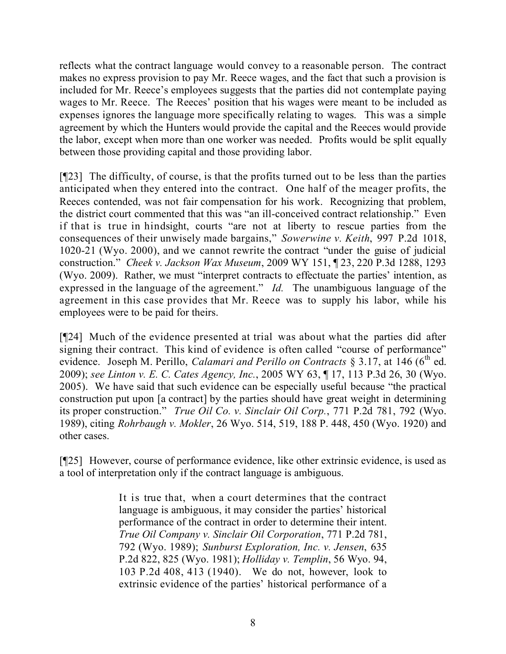reflects what the contract language would convey to a reasonable person. The contract makes no express provision to pay Mr. Reece wages, and the fact that such a provision is included for Mr. Reece's employees suggests that the parties did not contemplate paying wages to Mr. Reece. The Reeces' position that his wages were meant to be included as expenses ignores the language more specifically relating to wages. This was a simple agreement by which the Hunters would provide the capital and the Reeces would provide the labor, except when more than one worker was needed. Profits would be split equally between those providing capital and those providing labor.

[¶23] The difficulty, of course, is that the profits turned out to be less than the parties anticipated when they entered into the contract. One half of the meager profits, the Reeces contended, was not fair compensation for his work. Recognizing that problem, the district court commented that this was "an ill-conceived contract relationship." Even if that is true in hindsight, courts "are not at liberty to rescue parties from the consequences of their unwisely made bargains," *Sowerwine v. Keith*, 997 P.2d 1018, 1020-21 (Wyo. 2000), and we cannot rewrite the contract "under the guise of judicial construction." *Cheek v. Jackson Wax Museum*, 2009 WY 151, ¶ 23, 220 P.3d 1288, 1293 (Wyo. 2009). Rather, we must "interpret contracts to effectuate the parties' intention, as expressed in the language of the agreement." *Id.* The unambiguous language of the agreement in this case provides that Mr. Reece was to supply his labor, while his employees were to be paid for theirs.

[¶24] Much of the evidence presented at trial was about what the parties did after signing their contract. This kind of evidence is often called "course of performance" evidence. Joseph M. Perillo, *Calamari and Perillo on Contracts* § 3.17, at 146 (6<sup>th</sup> ed. 2009); *see Linton v. E. C. Cates Agency, Inc.*, 2005 WY 63, ¶ 17, 113 P.3d 26, 30 (Wyo. 2005). We have said that such evidence can be especially useful because "the practical construction put upon [a contract] by the parties should have great weight in determining its proper construction." *True Oil Co. v. Sinclair Oil Corp.*, 771 P.2d 781, 792 (Wyo. 1989), citing *Rohrbaugh v. Mokler*, 26 Wyo. 514, 519, 188 P. 448, 450 (Wyo. 1920) and other cases.

[¶25] However, course of performance evidence, like other extrinsic evidence, is used as a tool of interpretation only if the contract language is ambiguous.

> It is true that, when a court determines that the contract language is ambiguous, it may consider the parties' historical performance of the contract in order to determine their intent. *True Oil Company v. Sinclair Oil Corporation*, 771 P.2d 781, 792 (Wyo. 1989); *Sunburst Exploration, Inc. v. Jensen*, 635 P.2d 822, 825 (Wyo. 1981); *Holliday v. Templin*, 56 Wyo. 94, 103 P.2d 408, 413 (1940). We do not, however, look to extrinsic evidence of the parties' historical performance of a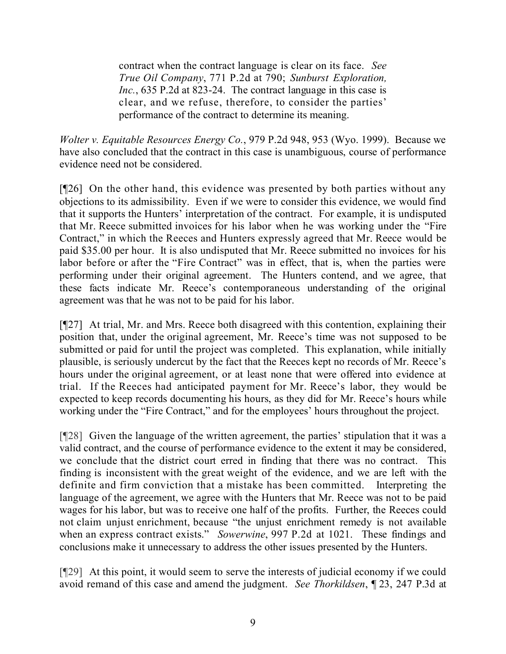contract when the contract language is clear on its face. *See True Oil Company*, 771 P.2d at 790; *Sunburst Exploration, Inc.*, 635 P.2d at 823-24. The contract language in this case is clear, and we refuse, therefore, to consider the parties' performance of the contract to determine its meaning.

*Wolter v. Equitable Resources Energy Co.*, 979 P.2d 948, 953 (Wyo. 1999). Because we have also concluded that the contract in this case is unambiguous, course of performance evidence need not be considered.

[¶26] On the other hand, this evidence was presented by both parties without any objections to its admissibility. Even if we were to consider this evidence, we would find that it supports the Hunters' interpretation of the contract. For example, it is undisputed that Mr. Reece submitted invoices for his labor when he was working under the "Fire Contract," in which the Reeces and Hunters expressly agreed that Mr. Reece would be paid \$35.00 per hour. It is also undisputed that Mr. Reece submitted no invoices for his labor before or after the "Fire Contract" was in effect, that is, when the parties were performing under their original agreement. The Hunters contend, and we agree, that these facts indicate Mr. Reece's contemporaneous understanding of the original agreement was that he was not to be paid for his labor.

[¶27] At trial, Mr. and Mrs. Reece both disagreed with this contention, explaining their position that, under the original agreement, Mr. Reece's time was not supposed to be submitted or paid for until the project was completed. This explanation, while initially plausible, is seriously undercut by the fact that the Reeces kept no records of Mr. Reece's hours under the original agreement, or at least none that were offered into evidence at trial. If the Reeces had anticipated payment for Mr. Reece's labor, they would be expected to keep records documenting his hours, as they did for Mr. Reece's hours while working under the "Fire Contract," and for the employees' hours throughout the project.

[¶28] Given the language of the written agreement, the parties' stipulation that it was a valid contract, and the course of performance evidence to the extent it may be considered, we conclude that the district court erred in finding that there was no contract. This finding is inconsistent with the great weight of the evidence, and we are left with the definite and firm conviction that a mistake has been committed. Interpreting the language of the agreement, we agree with the Hunters that Mr. Reece was not to be paid wages for his labor, but was to receive one half of the profits. Further, the Reeces could not claim unjust enrichment, because "the unjust enrichment remedy is not available when an express contract exists." *Sowerwine*, 997 P.2d at 1021. These findings and conclusions make it unnecessary to address the other issues presented by the Hunters.

[¶29] At this point, it would seem to serve the interests of judicial economy if we could avoid remand of this case and amend the judgment. *See Thorkildsen*, ¶ 23, 247 P.3d at